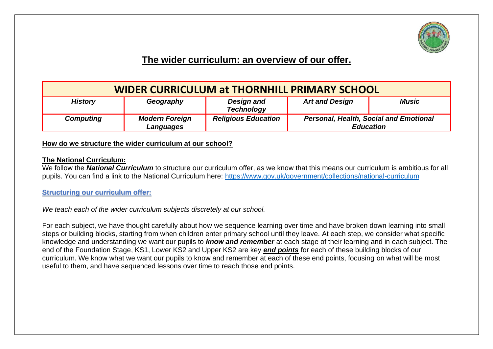

# **The wider curriculum: an overview of our offer.**

| <b>WIDER CURRICULUM at THORNHILL PRIMARY SCHOOL</b> |                                    |                                 |                                                                   |       |
|-----------------------------------------------------|------------------------------------|---------------------------------|-------------------------------------------------------------------|-------|
| <b>History</b>                                      | Geography                          | Design and<br><b>Technology</b> | <b>Art and Design</b>                                             | Music |
| <b>Computing</b>                                    | <b>Modern Foreign</b><br>Languages | <b>Religious Education</b>      | <b>Personal, Health, Social and Emotional</b><br><b>Education</b> |       |

#### **How do we structure the wider curriculum at our school?**

#### **The National Curriculum:**

We follow the *National Curriculum* to structure our curriculum offer, as we know that this means our curriculum is ambitious for all pupils. You can find a link to the National Curriculum here:<https://www.gov.uk/government/collections/national-curriculum>

# **Structuring our curriculum offer:**

*We teach each of the wider curriculum subjects discretely at our school.* 

For each subject, we have thought carefully about how we sequence learning over time and have broken down learning into small steps or building blocks, starting from when children enter primary school until they leave. At each step, we consider what specific knowledge and understanding we want our pupils to *know and remember* at each stage of their learning and in each subject. The end of the Foundation Stage, KS1, Lower KS2 and Upper KS2 are key *end points* for each of these building blocks of our curriculum. We know what we want our pupils to know and remember at each of these end points, focusing on what will be most useful to them, and have sequenced lessons over time to reach those end points.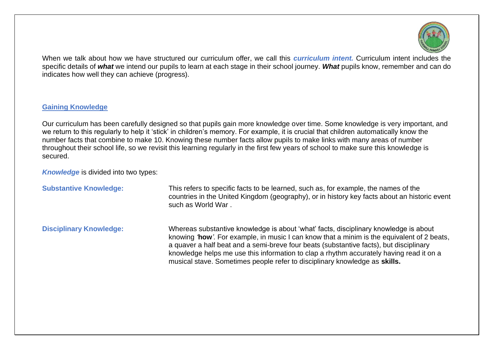

When we talk about how we have structured our curriculum offer, we call this *curriculum intent.* Curriculum intent includes the specific details of *what* we intend our pupils to learn at each stage in their school journey. *What* pupils know, remember and can do indicates how well they can achieve (progress).

#### **Gaining Knowledge**

Our curriculum has been carefully designed so that pupils gain more knowledge over time. Some knowledge is very important, and we return to this regularly to help it 'stick' in children's memory. For example, it is crucial that children automatically know the number facts that combine to make 10. Knowing these number facts allow pupils to make links with many areas of number throughout their school life, so we revisit this learning regularly in the first few years of school to make sure this knowledge is secured.

*Knowledge* is divided into two types:

| <b>Substantive Knowledge:</b>  | This refers to specific facts to be learned, such as, for example, the names of the<br>countries in the United Kingdom (geography), or in history key facts about an historic event<br>such as World War.                                                                                                                                                                                                                                             |
|--------------------------------|-------------------------------------------------------------------------------------------------------------------------------------------------------------------------------------------------------------------------------------------------------------------------------------------------------------------------------------------------------------------------------------------------------------------------------------------------------|
| <b>Disciplinary Knowledge:</b> | Whereas substantive knowledge is about 'what' facts, disciplinary knowledge is about<br>knowing 'how'. For example, in music I can know that a minim is the equivalent of 2 beats,<br>a quaver a half beat and a semi-breve four beats (substantive facts), but disciplinary<br>knowledge helps me use this information to clap a rhythm accurately having read it on a<br>musical stave. Sometimes people refer to disciplinary knowledge as skills. |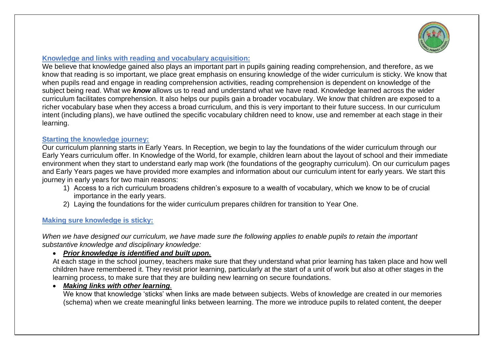

# **Knowledge and links with reading and vocabulary acquisition:**

We believe that knowledge gained also plays an important part in pupils gaining reading comprehension, and therefore, as we know that reading is so important, we place great emphasis on ensuring knowledge of the wider curriculum is sticky. We know that when pupils read and engage in reading comprehension activities, reading comprehension is dependent on knowledge of the subject being read. What we *know* allows us to read and understand what we have read. Knowledge learned across the wider curriculum facilitates comprehension. It also helps our pupils gain a broader vocabulary. We know that children are exposed to a richer vocabulary base when they access a broad curriculum, and this is very important to their future success. In our curriculum intent (including plans), we have outlined the specific vocabulary children need to know, use and remember at each stage in their learning.

#### **Starting the knowledge journey:**

Our curriculum planning starts in Early Years. In Reception, we begin to lay the foundations of the wider curriculum through our Early Years curriculum offer. In Knowledge of the World, for example, children learn about the layout of school and their immediate environment when they start to understand early map work (the foundations of the geography curriculum). On our curriculum pages and Early Years pages we have provided more examples and information about our curriculum intent for early years. We start this journey in early years for two main reasons:

- 1) Access to a rich curriculum broadens children's exposure to a wealth of vocabulary, which we know to be of crucial importance in the early years.
- 2) Laying the foundations for the wider curriculum prepares children for transition to Year One.

# **Making sure knowledge is sticky:**

*When we have designed our curriculum, we have made sure the following applies to enable pupils to retain the important substantive knowledge and disciplinary knowledge:* 

# • *Prior knowledge is identified and built upon.*

At each stage in the school journey, teachers make sure that they understand what prior learning has taken place and how well children have remembered it. They revisit prior learning, particularly at the start of a unit of work but also at other stages in the learning process, to make sure that they are building new learning on secure foundations.

# • *Making links with other learning.*

We know that knowledge 'sticks' when links are made between subjects. Webs of knowledge are created in our memories (schema) when we create meaningful links between learning. The more we introduce pupils to related content, the deeper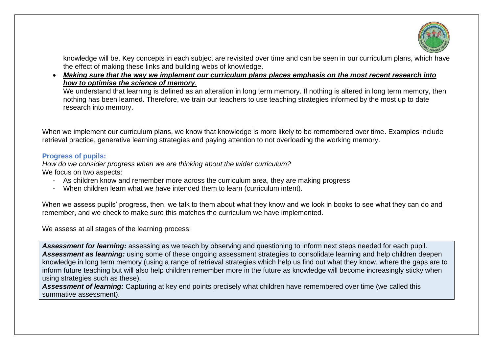

knowledge will be. Key concepts in each subject are revisited over time and can be seen in our curriculum plans, which have the effect of making these links and building webs of knowledge.

• *Making sure that the way we implement our curriculum plans places emphasis on the most recent research into how to optimise the science of memory.*

We understand that learning is defined as an alteration in long term memory. If nothing is altered in long term memory, then nothing has been learned. Therefore, we train our teachers to use teaching strategies informed by the most up to date research into memory.

When we implement our curriculum plans, we know that knowledge is more likely to be remembered over time. Examples include retrieval practice, generative learning strategies and paying attention to not overloading the working memory.

#### **Progress of pupils:**

*How do we consider progress when we are thinking about the wider curriculum?* We focus on two aspects:

- As children know and remember more across the curriculum area, they are making progress
- When children learn what we have intended them to learn (curriculum intent).

When we assess pupils' progress, then, we talk to them about what they know and we look in books to see what they can do and remember, and we check to make sure this matches the curriculum we have implemented.

We assess at all stages of the learning process:

*Assessment for learning:* assessing as we teach by observing and questioning to inform next steps needed for each pupil. *Assessment as learning:* using some of these ongoing assessment strategies to consolidate learning and help children deepen knowledge in long term memory (using a range of retrieval strategies which help us find out what they know, where the gaps are to inform future teaching but will also help children remember more in the future as knowledge will become increasingly sticky when using strategies such as these).

*Assessment of learning:* Capturing at key end points precisely what children have remembered over time (we called this summative assessment).